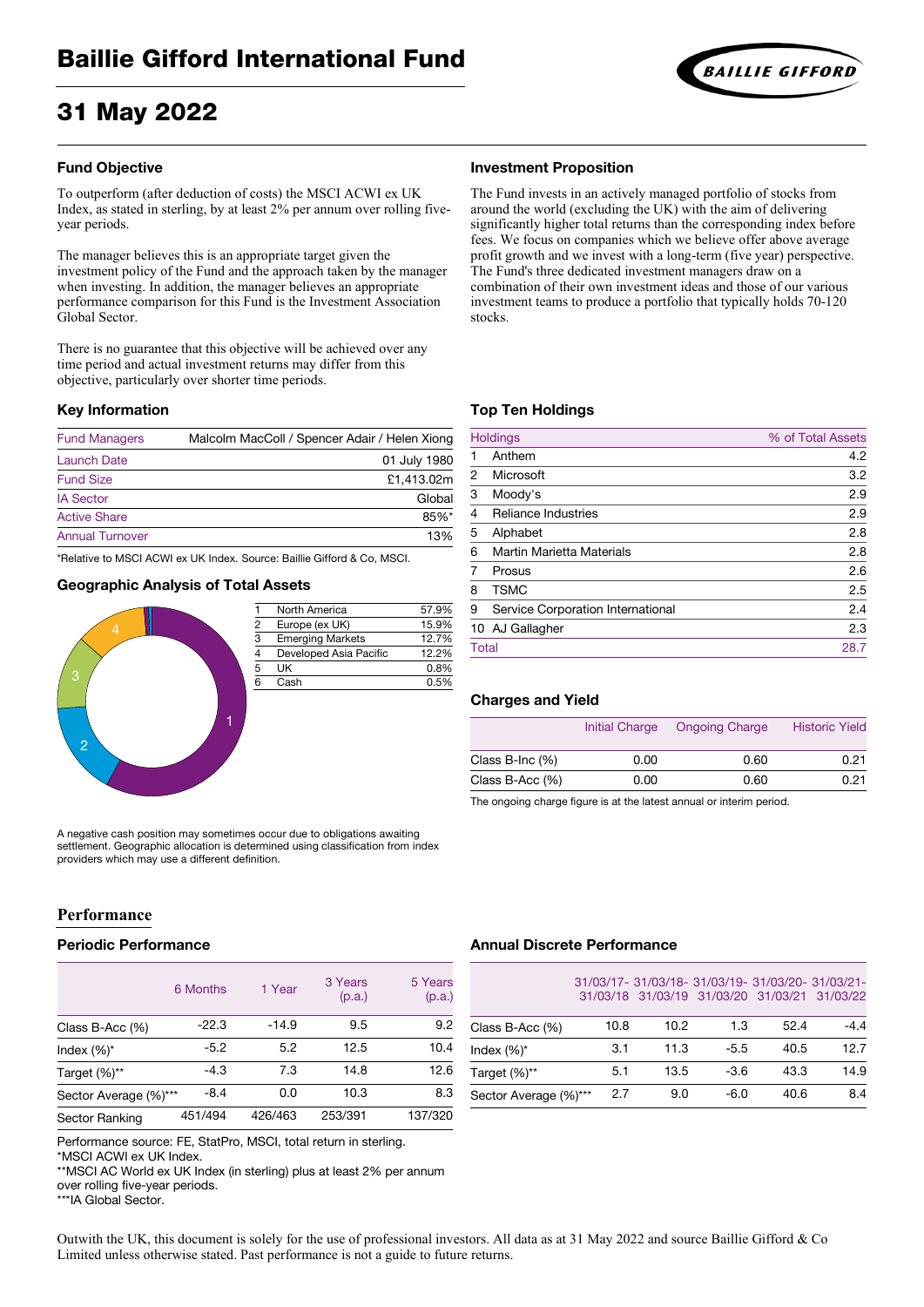# 31 May 2022

#### **Fund Objective**

To outperform (after deduction of costs) the MSCI ACWI ex UK Index, as stated in sterling, by at least 2% per annum over rolling fiveyear periods.

The manager believes this is an appropriate target given the investment policy of the Fund and the approach taken by the manager when investing. In addition, the manager believes an appropriate performance comparison for this Fund is the Investment Association Global Sector.

There is no guarantee that this objective will be achieved over any time period and actual investment returns may differ from this objective, particularly over shorter time periods.

#### **Key Information**

| Malcolm MacColl / Spencer Adair / Helen Xiong |
|-----------------------------------------------|
| 01 July 1980                                  |
| £1,413.02m                                    |
| Global                                        |
| $85%$ *                                       |
| 13%                                           |
|                                               |

\*Relative to MSCI ACWI ex UK Index. Source: Baillie Gifford & Co, MSCI.

#### **Geographic Analysis of Total Assets**



North America 57.9%<br>Europe (ex UK) 15.9% 3 Emerging Markets 12.7% 4 Developed Asia Pacific 12.2%  $5 \text{ UK}$  0.8% 6 Cash 0.5%

A negative cash position may sometimes occur due to obligations awaiting settlement. Geographic allocation is determined using classification from index providers which may use a different definition.

# **Performance**

#### **Periodic Performance**

|                       | 6 Months | 1 Year  | 3 Years<br>(p.a.) | 5 Years<br>(p.a.) |
|-----------------------|----------|---------|-------------------|-------------------|
| Class B-Acc $(\%)$    | $-22.3$  | $-14.9$ | 9.5               | 9.2               |
| Index $(\%)^*$        | $-5.2$   | 5.2     | 12.5              | 10.4              |
| Target (%)**          | $-4.3$   | 7.3     | 14.8              | 12.6              |
| Sector Average (%)*** | $-8.4$   | 0.0     | 10.3              | 8.3               |
| <b>Sector Ranking</b> | 451/494  | 426/463 | 253/391           | 137/320           |

#### **Investment Proposition**

The Fund invests in an actively managed portfolio of stocks from around the world (excluding the UK) with the aim of delivering significantly higher total returns than the corresponding index before fees. We focus on companies which we believe offer above average profit growth and we invest with a long-term (five year) perspective. The Fund's three dedicated investment managers draw on a combination of their own investment ideas and those of our various investment teams to produce a portfolio that typically holds 70-120 stocks.

#### **Top Ten Holdings**

|                | <b>Holdings</b>                   | % of Total Assets |
|----------------|-----------------------------------|-------------------|
|                | Anthem                            | 4.2               |
| $\mathfrak{p}$ | Microsoft                         | 3.2               |
| 3              | Moody's                           | 2.9               |
| 4              | <b>Reliance Industries</b>        | 2.9               |
| 5              | Alphabet                          | 2.8               |
| 6              | <b>Martin Marietta Materials</b>  | 2.8               |
|                | Prosus                            | 2.6               |
| 8              | <b>TSMC</b>                       | 2.5               |
| 9              | Service Corporation International | 2.4               |
|                | 10 AJ Gallagher                   | 2.3               |
| <b>Total</b>   |                                   | 28.7              |
|                |                                   |                   |

#### **Charges and Yield**

|                    | Initial Charge | <b>Ongoing Charge</b> | <b>Historic Yield</b> |
|--------------------|----------------|-----------------------|-----------------------|
| Class B-Inc $(\%)$ | 0.00           | 0.60                  | 0.21                  |
| Class B-Acc $(\%)$ | 0.00           | 0.60                  | 0.21                  |
|                    |                |                       |                       |

The ongoing charge figure is at the latest annual or interim period.

# **Annual Discrete Performance**

| 31/03/17-31/03/18-31/03/19-31/03/20-31/03/21- |                                              |  |
|-----------------------------------------------|----------------------------------------------|--|
|                                               | 31/03/18 31/03/19 31/03/20 31/03/21 31/03/22 |  |

| Class B-Acc $(\%)$    | 10.8 | 10.2 | 1.3    | 52.4 | $-4.4$ |
|-----------------------|------|------|--------|------|--------|
| Index $(\%)^*$        | 3.1  | 11.3 | $-5.5$ | 40.5 | 12.7   |
| Target (%)**          | 5.1  | 13.5 | $-3.6$ | 43.3 | 14.9   |
| Sector Average (%)*** | 2.7  | 9.0  | $-6.0$ | 40.6 | 8.4    |

Performance source: FE, StatPro, MSCI, total return in sterling.

\*MSCI ACWI ex UK Index.

\*\*MSCI AC World ex UK Index (in sterling) plus at least 2% per annum over rolling five-year periods.

\*\*\*IA Global Sector.

Outwith the UK, this document is solely for the use of professional investors. All data as at 31 May 2022 and source Baillie Gifford & Co Limited unless otherwise stated. Past performance is not a guide to future returns.

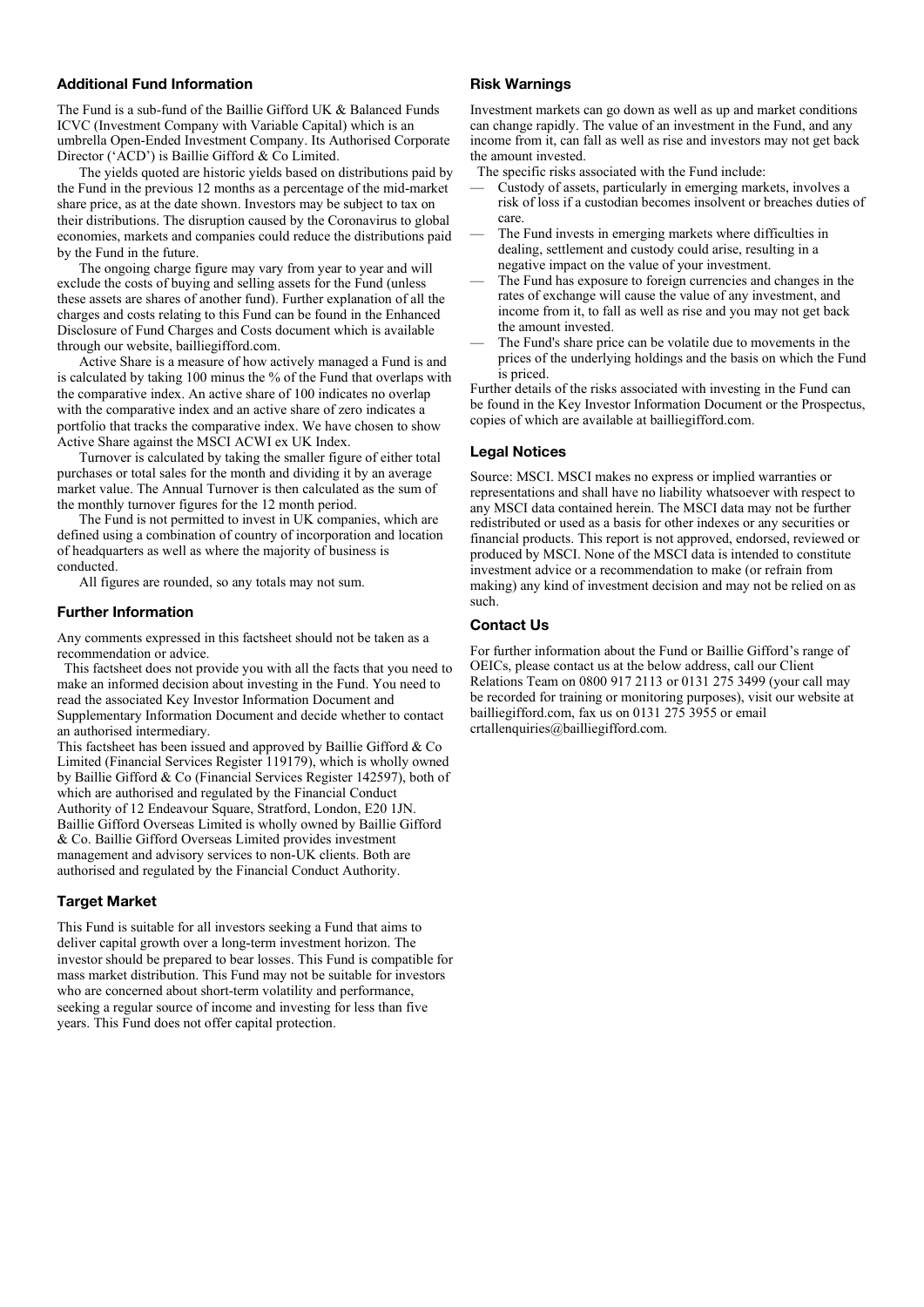### **Additional Fund Information**

The Fund is a sub-fund of the Baillie Gifford UK & Balanced Funds ICVC (Investment Company with Variable Capital) which is an umbrella Open-Ended Investment Company. Its Authorised Corporate Director ('ACD') is Baillie Gifford & Co Limited.

The yields quoted are historic yields based on distributions paid by the Fund in the previous 12 months as a percentage of the mid-market share price, as at the date shown. Investors may be subject to tax on their distributions. The disruption caused by the Coronavirus to global economies, markets and companies could reduce the distributions paid by the Fund in the future.

The ongoing charge figure may vary from year to year and will exclude the costs of buying and selling assets for the Fund (unless these assets are shares of another fund). Further explanation of all the charges and costs relating to this Fund can be found in the Enhanced Disclosure of Fund Charges and Costs document which is available through our website, bailliegifford.com.

Active Share is a measure of how actively managed a Fund is and is calculated by taking 100 minus the % of the Fund that overlaps with the comparative index. An active share of 100 indicates no overlap with the comparative index and an active share of zero indicates a portfolio that tracks the comparative index. We have chosen to show Active Share against the MSCI ACWI ex UK Index.

Turnover is calculated by taking the smaller figure of either total purchases or total sales for the month and dividing it by an average market value. The Annual Turnover is then calculated as the sum of the monthly turnover figures for the 12 month period.

The Fund is not permitted to invest in UK companies, which are defined using a combination of country of incorporation and location of headquarters as well as where the majority of business is conducted.

All figures are rounded, so any totals may not sum.

#### **Further Information**

Any comments expressed in this factsheet should not be taken as a recommendation or advice.

 This factsheet does not provide you with all the facts that you need to make an informed decision about investing in the Fund. You need to read the associated Key Investor Information Document and Supplementary Information Document and decide whether to contact an authorised intermediary.

This factsheet has been issued and approved by Baillie Gifford & Co Limited (Financial Services Register 119179), which is wholly owned by Baillie Gifford & Co (Financial Services Register 142597), both of which are authorised and regulated by the Financial Conduct Authority of 12 Endeavour Square, Stratford, London, E20 1JN. Baillie Gifford Overseas Limited is wholly owned by Baillie Gifford & Co. Baillie Gifford Overseas Limited provides investment management and advisory services to non-UK clients. Both are authorised and regulated by the Financial Conduct Authority.

#### **Target Market**

This Fund is suitable for all investors seeking a Fund that aims to deliver capital growth over a long-term investment horizon. The investor should be prepared to bear losses. This Fund is compatible for mass market distribution. This Fund may not be suitable for investors who are concerned about short-term volatility and performance, seeking a regular source of income and investing for less than five years. This Fund does not offer capital protection.

#### **Risk Warnings**

Investment markets can go down as well as up and market conditions can change rapidly. The value of an investment in the Fund, and any income from it, can fall as well as rise and investors may not get back the amount invested.

The specific risks associated with the Fund include:

- Custody of assets, particularly in emerging markets, involves a risk of loss if a custodian becomes insolvent or breaches duties of care.
- The Fund invests in emerging markets where difficulties in dealing, settlement and custody could arise, resulting in a negative impact on the value of your investment.
- The Fund has exposure to foreign currencies and changes in the rates of exchange will cause the value of any investment, and income from it, to fall as well as rise and you may not get back the amount invested.
- The Fund's share price can be volatile due to movements in the prices of the underlying holdings and the basis on which the Fund is priced.

Further details of the risks associated with investing in the Fund can be found in the Key Investor Information Document or the Prospectus, copies of which are available at bailliegifford.com.

#### **Legal Notices**

Source: MSCI. MSCI makes no express or implied warranties or representations and shall have no liability whatsoever with respect to any MSCI data contained herein. The MSCI data may not be further redistributed or used as a basis for other indexes or any securities or financial products. This report is not approved, endorsed, reviewed or produced by MSCI. None of the MSCI data is intended to constitute investment advice or a recommendation to make (or refrain from making) any kind of investment decision and may not be relied on as such.

#### **Contact Us**

For further information about the Fund or Baillie Gifford's range of OEICs, please contact us at the below address, call our Client Relations Team on 0800 917 2113 or 0131 275 3499 (your call may be recorded for training or monitoring purposes), visit our website at bailliegifford.com, fax us on 0131 275 3955 or email [crtallenquiries@bailliegifford.com.](mailto:crtallenquiries@bailliegifford.com)